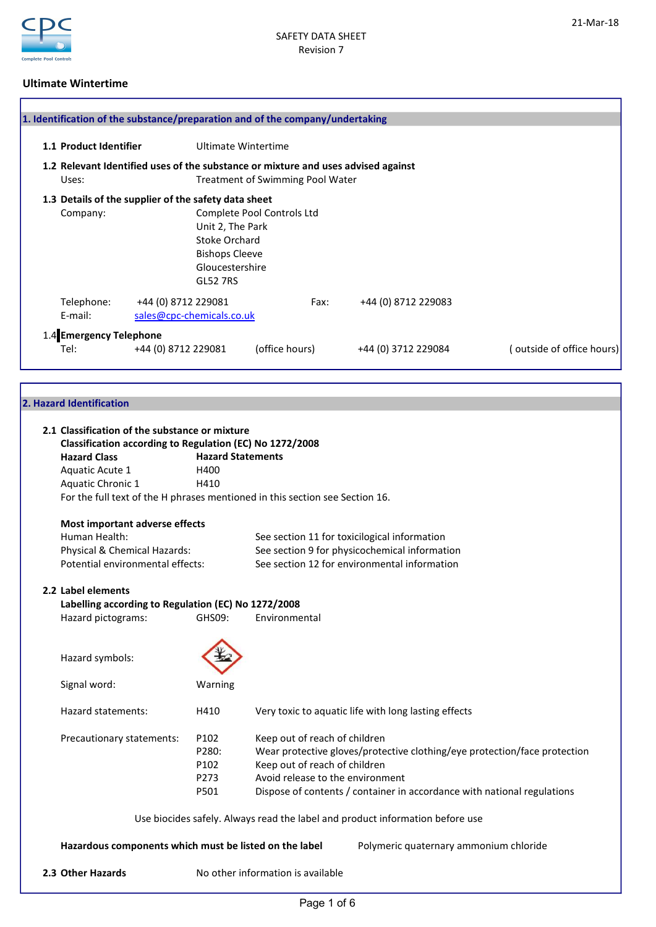

### Ultimate Wintertime

| 1.1 Product Identifier  | Ultimate Wintertime                                                               |                                         |                     |                          |
|-------------------------|-----------------------------------------------------------------------------------|-----------------------------------------|---------------------|--------------------------|
|                         | 1.2 Relevant Identified uses of the substance or mixture and uses advised against |                                         |                     |                          |
| Uses:                   |                                                                                   | <b>Treatment of Swimming Pool Water</b> |                     |                          |
|                         | 1.3 Details of the supplier of the safety data sheet                              |                                         |                     |                          |
| Company:                |                                                                                   | Complete Pool Controls Ltd              |                     |                          |
|                         | Unit 2, The Park                                                                  |                                         |                     |                          |
|                         | Stoke Orchard                                                                     |                                         |                     |                          |
|                         | <b>Bishops Cleeve</b>                                                             |                                         |                     |                          |
|                         | Gloucestershire                                                                   |                                         |                     |                          |
|                         | <b>GL52 7RS</b>                                                                   |                                         |                     |                          |
| Telephone:              | +44 (0) 8712 229081                                                               | Fax:                                    | +44 (0) 8712 229083 |                          |
| E-mail:                 | sales@cpc-chemicals.co.uk                                                         |                                         |                     |                          |
| 1.4 Emergency Telephone |                                                                                   |                                         |                     |                          |
| Tel:                    | +44 (0) 8712 229081                                                               | (office hours)                          | +44 (0) 3712 229084 | outside of office hours) |

### 2. Hazard Identification

| 2.1 Classification of the substance or mixture<br>Classification according to Regulation (EC) No 1272/2008 |                          |                                                                               |  |  |
|------------------------------------------------------------------------------------------------------------|--------------------------|-------------------------------------------------------------------------------|--|--|
| <b>Hazard Class</b>                                                                                        | <b>Hazard Statements</b> |                                                                               |  |  |
| Aquatic Acute 1                                                                                            | H400                     |                                                                               |  |  |
| Aquatic Chronic 1                                                                                          | H410                     |                                                                               |  |  |
|                                                                                                            |                          | For the full text of the H phrases mentioned in this section see Section 16.  |  |  |
|                                                                                                            |                          |                                                                               |  |  |
| Most important adverse effects                                                                             |                          |                                                                               |  |  |
| Human Health:                                                                                              |                          | See section 11 for toxicilogical information                                  |  |  |
| Physical & Chemical Hazards:                                                                               |                          | See section 9 for physicochemical information                                 |  |  |
| Potential environmental effects:                                                                           |                          | See section 12 for environmental information                                  |  |  |
|                                                                                                            |                          |                                                                               |  |  |
| 2.2 Label elements                                                                                         |                          |                                                                               |  |  |
| Labelling according to Regulation (EC) No 1272/2008                                                        |                          |                                                                               |  |  |
| Hazard pictograms:                                                                                         | GHS09:                   | Environmental                                                                 |  |  |
|                                                                                                            |                          |                                                                               |  |  |
| Hazard symbols:                                                                                            |                          |                                                                               |  |  |
| Signal word:                                                                                               | Warning                  |                                                                               |  |  |
| Hazard statements:                                                                                         | H410                     | Very toxic to aquatic life with long lasting effects                          |  |  |
| Precautionary statements:                                                                                  | P102                     | Keep out of reach of children                                                 |  |  |
|                                                                                                            | P280:                    | Wear protective gloves/protective clothing/eye protection/face protection     |  |  |
|                                                                                                            | P102                     | Keep out of reach of children                                                 |  |  |
|                                                                                                            | P273                     | Avoid release to the environment                                              |  |  |
|                                                                                                            | P501                     | Dispose of contents / container in accordance with national regulations       |  |  |
|                                                                                                            |                          |                                                                               |  |  |
|                                                                                                            |                          | Use biocides safely. Always read the label and product information before use |  |  |
| Hazardous components which must be listed on the label                                                     |                          | Polymeric quaternary ammonium chloride                                        |  |  |
| 2.3 Other Hazards                                                                                          |                          | No other information is available                                             |  |  |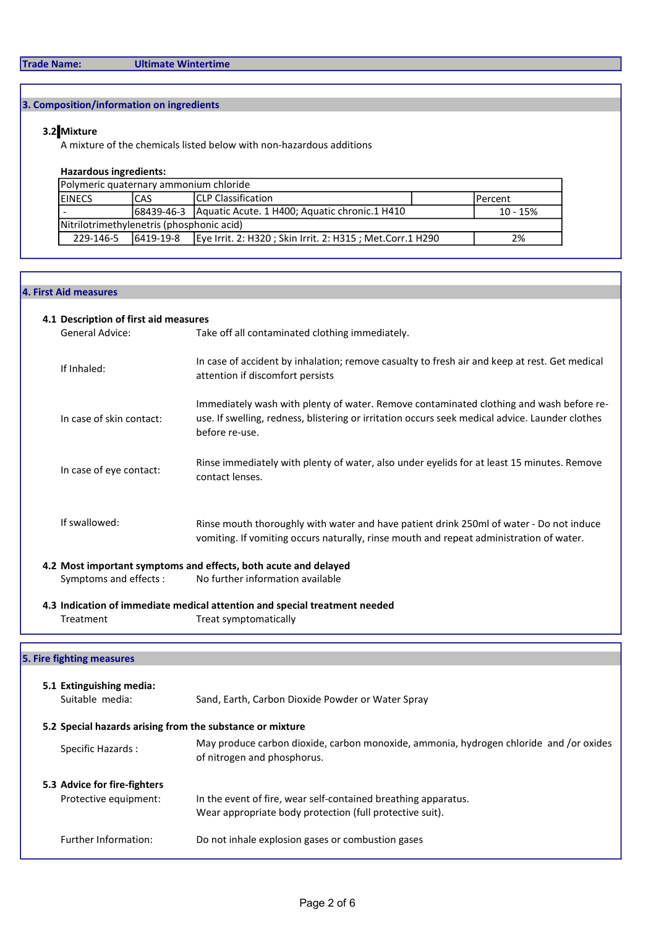## Trade Name: Ultimate Wintertime

## 3. Composition/information on ingredients

## 3.2 Mixture

A mixture of the chemicals listed below with non-hazardous additions

### Hazardous ingredients:

| Polymeric quaternary ammonium chloride                                                     |  |  |  |  |  |
|--------------------------------------------------------------------------------------------|--|--|--|--|--|
| <b>ICLP Classification</b><br><b>IEINECS</b><br>ICAS<br><b>IPercent</b>                    |  |  |  |  |  |
| 168439-46-3 Aquatic Acute. 1 H400; Aquatic chronic. 1 H410<br>$10 - 15%$                   |  |  |  |  |  |
| Nitrilotrimethylenetris (phosphonic acid)                                                  |  |  |  |  |  |
| 229-146-5<br>Eye Irrit. 2: H320 ; Skin Irrit. 2: H315 ; Met.Corr.1 H290<br>6419-19-8<br>2% |  |  |  |  |  |

### 4. First Aid measures

### 4.1 Description of first aid measures

| General Advice:                                                            | Take off all contaminated clothing immediately.                                                                                                                                                              |  |  |  |
|----------------------------------------------------------------------------|--------------------------------------------------------------------------------------------------------------------------------------------------------------------------------------------------------------|--|--|--|
| If Inhaled:                                                                | In case of accident by inhalation; remove casualty to fresh air and keep at rest. Get medical<br>attention if discomfort persists                                                                            |  |  |  |
| In case of skin contact:                                                   | Immediately wash with plenty of water. Remove contaminated clothing and wash before re-<br>use. If swelling, redness, blistering or irritation occurs seek medical advice. Launder clothes<br>before re-use. |  |  |  |
| In case of eye contact:                                                    | Rinse immediately with plenty of water, also under eyelids for at least 15 minutes. Remove<br>contact lenses.                                                                                                |  |  |  |
| If swallowed:                                                              | Rinse mouth thoroughly with water and have patient drink 250ml of water - Do not induce<br>vomiting. If vomiting occurs naturally, rinse mouth and repeat administration of water.                           |  |  |  |
|                                                                            | 4.2 Most important symptoms and effects, both acute and delayed                                                                                                                                              |  |  |  |
| Symptoms and effects :                                                     | No further information available                                                                                                                                                                             |  |  |  |
| 4.3 Indication of immediate medical attention and special treatment needed |                                                                                                                                                                                                              |  |  |  |
| Treatment                                                                  | Treat symptomatically                                                                                                                                                                                        |  |  |  |
|                                                                            |                                                                                                                                                                                                              |  |  |  |
| re fighting measures                                                       |                                                                                                                                                                                                              |  |  |  |

# 5. Fire

| 5.1 Extinguishing media:<br>Suitable media:               | Sand, Earth, Carbon Dioxide Powder or Water Spray                                                                          |
|-----------------------------------------------------------|----------------------------------------------------------------------------------------------------------------------------|
| 5.2 Special hazards arising from the substance or mixture |                                                                                                                            |
| Specific Hazards:                                         | May produce carbon dioxide, carbon monoxide, ammonia, hydrogen chloride and /or oxides<br>of nitrogen and phosphorus.      |
| 5.3 Advice for fire-fighters<br>Protective equipment:     | In the event of fire, wear self-contained breathing apparatus.<br>Wear appropriate body protection (full protective suit). |
| Further Information:                                      | Do not inhale explosion gases or combustion gases                                                                          |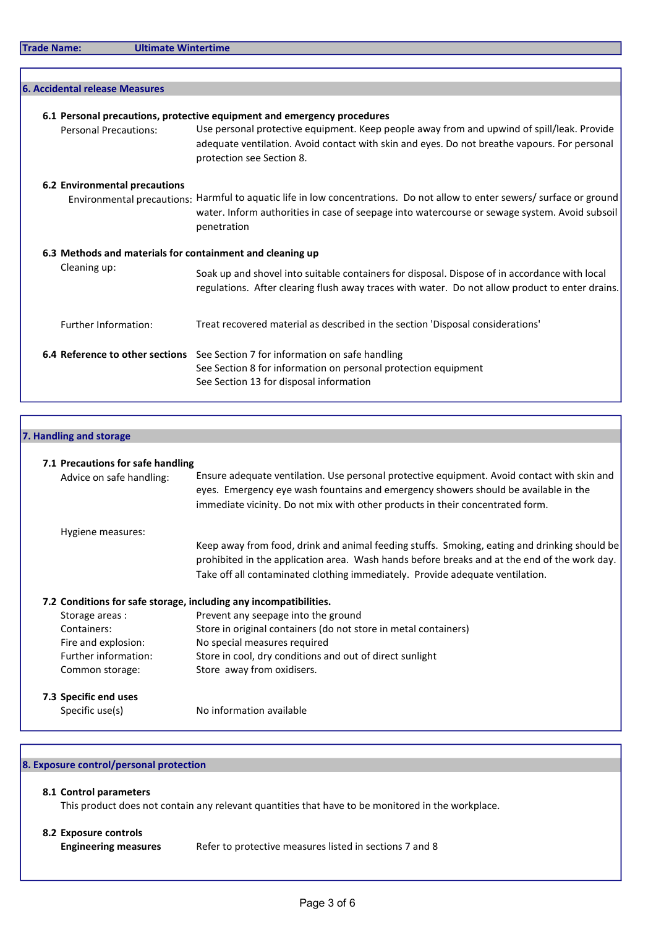|  | <b>Trade Name:</b> |  |  |  |
|--|--------------------|--|--|--|
|--|--------------------|--|--|--|

Ultimate Wintertime

| <b>6. Accidental release Measures</b>                     |                                                                                                                                                                                                                                           |
|-----------------------------------------------------------|-------------------------------------------------------------------------------------------------------------------------------------------------------------------------------------------------------------------------------------------|
|                                                           |                                                                                                                                                                                                                                           |
|                                                           | 6.1 Personal precautions, protective equipment and emergency procedures                                                                                                                                                                   |
| <b>Personal Precautions:</b>                              | Use personal protective equipment. Keep people away from and upwind of spill/leak. Provide<br>adequate ventilation. Avoid contact with skin and eyes. Do not breathe vapours. For personal<br>protection see Section 8.                   |
| 6.2 Environmental precautions                             |                                                                                                                                                                                                                                           |
|                                                           | Environmental precautions: Harmful to aquatic life in low concentrations. Do not allow to enter sewers/ surface or ground<br>water. Inform authorities in case of seepage into watercourse or sewage system. Avoid subsoil<br>penetration |
| 6.3 Methods and materials for containment and cleaning up |                                                                                                                                                                                                                                           |
| Cleaning up:                                              | Soak up and shovel into suitable containers for disposal. Dispose of in accordance with local<br>regulations. After clearing flush away traces with water. Do not allow product to enter drains.                                          |
| <b>Further Information:</b>                               | Treat recovered material as described in the section 'Disposal considerations'                                                                                                                                                            |
|                                                           | 6.4 Reference to other sections See Section 7 for information on safe handling<br>See Section 8 for information on personal protection equipment<br>See Section 13 for disposal information                                               |

| 7. Handling and storage           |                                                                                                                                                                                                                                                                               |
|-----------------------------------|-------------------------------------------------------------------------------------------------------------------------------------------------------------------------------------------------------------------------------------------------------------------------------|
| 7.1 Precautions for safe handling |                                                                                                                                                                                                                                                                               |
| Advice on safe handling:          | Ensure adequate ventilation. Use personal protective equipment. Avoid contact with skin and<br>eyes. Emergency eye wash fountains and emergency showers should be available in the<br>immediate vicinity. Do not mix with other products in their concentrated form.          |
| Hygiene measures:                 |                                                                                                                                                                                                                                                                               |
|                                   | Keep away from food, drink and animal feeding stuffs. Smoking, eating and drinking should be<br>prohibited in the application area. Wash hands before breaks and at the end of the work day.<br>Take off all contaminated clothing immediately. Provide adequate ventilation. |
|                                   | 7.2 Conditions for safe storage, including any incompatibilities.                                                                                                                                                                                                             |
| Storage areas :                   | Prevent any seepage into the ground                                                                                                                                                                                                                                           |
| Containers:                       | Store in original containers (do not store in metal containers)                                                                                                                                                                                                               |
| Fire and explosion:               | No special measures required                                                                                                                                                                                                                                                  |
| Further information:              | Store in cool, dry conditions and out of direct sunlight                                                                                                                                                                                                                      |
| Common storage:                   | Store away from oxidisers.                                                                                                                                                                                                                                                    |
| 7.3 Specific end uses             |                                                                                                                                                                                                                                                                               |
| Specific use(s)                   | No information available                                                                                                                                                                                                                                                      |

٦

## 8. Exposure control/personal protection

## 8.1 Control parameters

This product does not contain any relevant quantities that have to be monitored in the workplace.

## 8.2 Exposure controls

Engineering measures Refer to protective measures listed in sections 7 and 8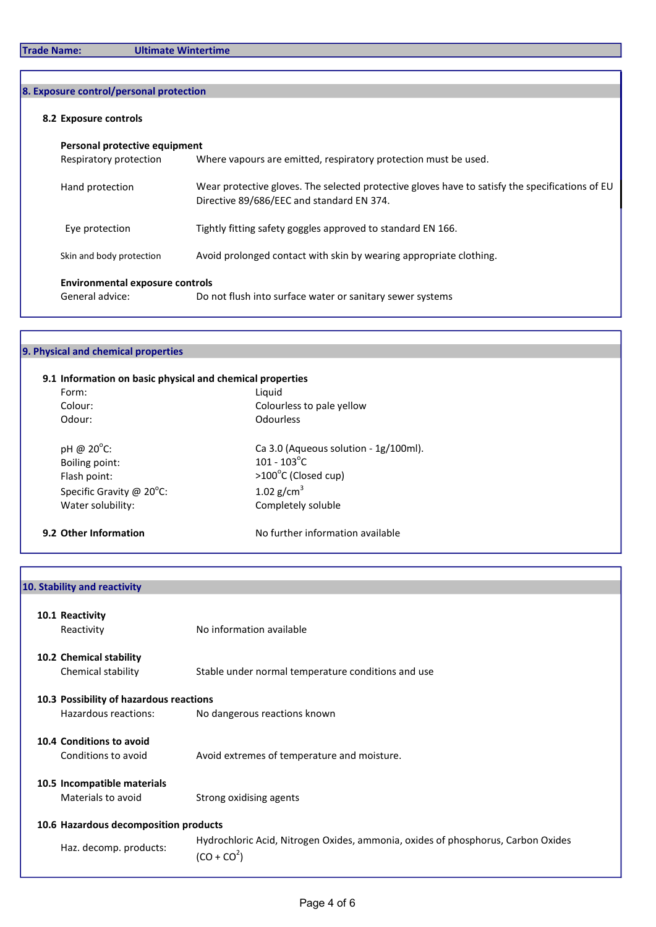## 8. Exposure control/personal protection

## 8.2 Exposure controls

| Personal protective equipment                             |                                                                                                                                              |  |  |  |
|-----------------------------------------------------------|----------------------------------------------------------------------------------------------------------------------------------------------|--|--|--|
| Respiratory protection                                    | Where vapours are emitted, respiratory protection must be used.                                                                              |  |  |  |
| Hand protection                                           | Wear protective gloves. The selected protective gloves have to satisfy the specifications of EU<br>Directive 89/686/EEC and standard EN 374. |  |  |  |
| Eye protection                                            | Tightly fitting safety goggles approved to standard EN 166.                                                                                  |  |  |  |
| Skin and body protection                                  | Avoid prolonged contact with skin by wearing appropriate clothing.                                                                           |  |  |  |
| <b>Environmental exposure controls</b><br>General advice: | Do not flush into surface water or sanitary sewer systems                                                                                    |  |  |  |

## 9. Physical and chemical properties

| Form:                              | Liguid                                |
|------------------------------------|---------------------------------------|
| Colour:                            | Colourless to pale yellow             |
| Odour:                             | Odourless                             |
| pH @ $20^{\circ}$ C:               | Ca 3.0 (Aqueous solution - 1g/100ml). |
| Boiling point:                     | $101 - 103^{\circ}$ C                 |
| Flash point:                       | >100°C (Closed cup)                   |
| Specific Gravity @ $20^{\circ}$ C: | 1.02 $g/cm^3$                         |
| Water solubility:                  | Completely soluble                    |
| 9.2 Other Information              | No further information available      |

## 10. Stability and reactivity

|                                       | 10.1 Reactivity<br>Reactivity                   | No information available                                                                         |  |  |
|---------------------------------------|-------------------------------------------------|--------------------------------------------------------------------------------------------------|--|--|
|                                       | 10.2 Chemical stability<br>Chemical stability   | Stable under normal temperature conditions and use                                               |  |  |
|                                       | 10.3 Possibility of hazardous reactions         |                                                                                                  |  |  |
|                                       | Hazardous reactions:                            | No dangerous reactions known                                                                     |  |  |
|                                       | 10.4 Conditions to avoid<br>Conditions to avoid | Avoid extremes of temperature and moisture.                                                      |  |  |
|                                       | 10.5 Incompatible materials                     |                                                                                                  |  |  |
|                                       | Materials to avoid                              | Strong oxidising agents                                                                          |  |  |
| 10.6 Hazardous decomposition products |                                                 |                                                                                                  |  |  |
|                                       | Haz. decomp. products:                          | Hydrochloric Acid, Nitrogen Oxides, ammonia, oxides of phosphorus, Carbon Oxides<br>$(CO + CO2)$ |  |  |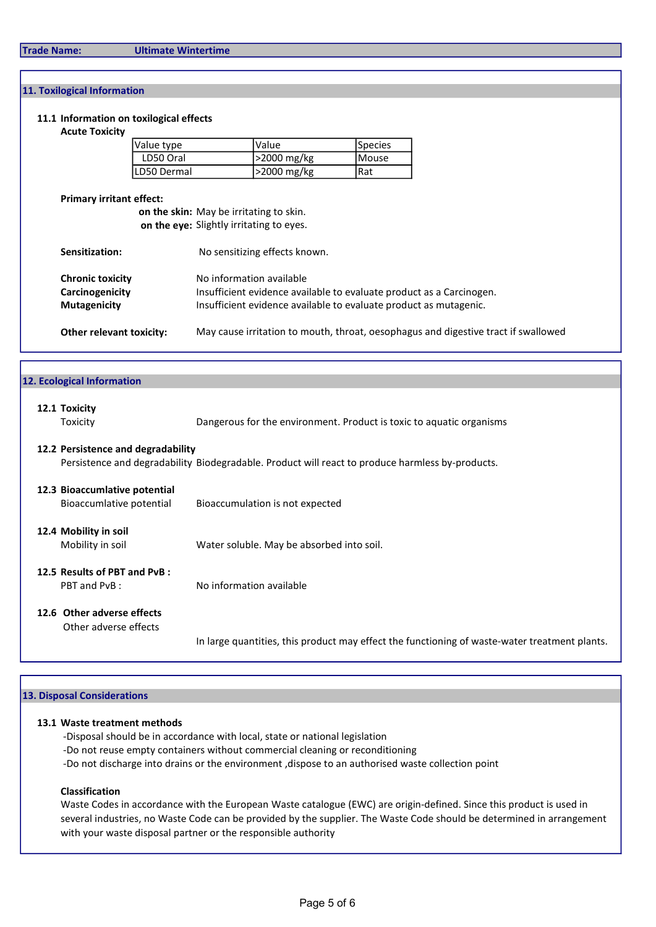### 11. Toxilogical Information

### 11.1 Information on toxilogical effects

#### Acute Toxicity

| Value type  | <b>Value</b>      | <b>Species</b> |
|-------------|-------------------|----------------|
| LD50 Oral   | $ >2000$ mg/kg    | <b>IMouse</b>  |
| LD50 Dermal | $\geq$ 2000 mg/kg | l Rat          |

### Primary irritant effect:

on the skin: May be irritating to skin. on the eye: Slightly irritating to eyes.

| Sensitization:                  | No sensitizing effects known.                                                      |
|---------------------------------|------------------------------------------------------------------------------------|
| <b>Chronic toxicity</b>         | No information available                                                           |
| Carcinogenicity                 | Insufficient evidence available to evaluate product as a Carcinogen.               |
| <b>Mutagenicity</b>             | Insufficient evidence available to evaluate product as mutagenic.                  |
| <b>Other relevant toxicity:</b> | May cause irritation to mouth, throat, oesophagus and digestive tract if swallowed |

| 12. Ecological Information                                |                                                                                                  |
|-----------------------------------------------------------|--------------------------------------------------------------------------------------------------|
| 12.1 Toxicity<br>Toxicity                                 | Dangerous for the environment. Product is toxic to aquatic organisms                             |
| 12.2 Persistence and degradability                        | Persistence and degradability Biodegradable. Product will react to produce harmless by-products. |
| 12.3 Bioaccumlative potential<br>Bioaccumlative potential | Bioaccumulation is not expected                                                                  |
| 12.4 Mobility in soil<br>Mobility in soil                 | Water soluble. May be absorbed into soil.                                                        |
| 12.5 Results of PBT and PvB:<br>PBT and PvB:              | No information available                                                                         |
| 12.6 Other adverse effects<br>Other adverse effects       |                                                                                                  |
|                                                           | In large quantities, this product may effect the functioning of waste-water treatment plants.    |

#### 13. Disposal Considerations

### 13.1 Waste treatment methods

- -Disposal should be in accordance with local, state or national legislation
- -Do not reuse empty containers without commercial cleaning or reconditioning
- -Do not discharge into drains or the environment ,dispose to an authorised waste collection point

### Classification

Waste Codes in accordance with the European Waste catalogue (EWC) are origin-defined. Since this product is used in several industries, no Waste Code can be provided by the supplier. The Waste Code should be determined in arrangement with your waste disposal partner or the responsible authority